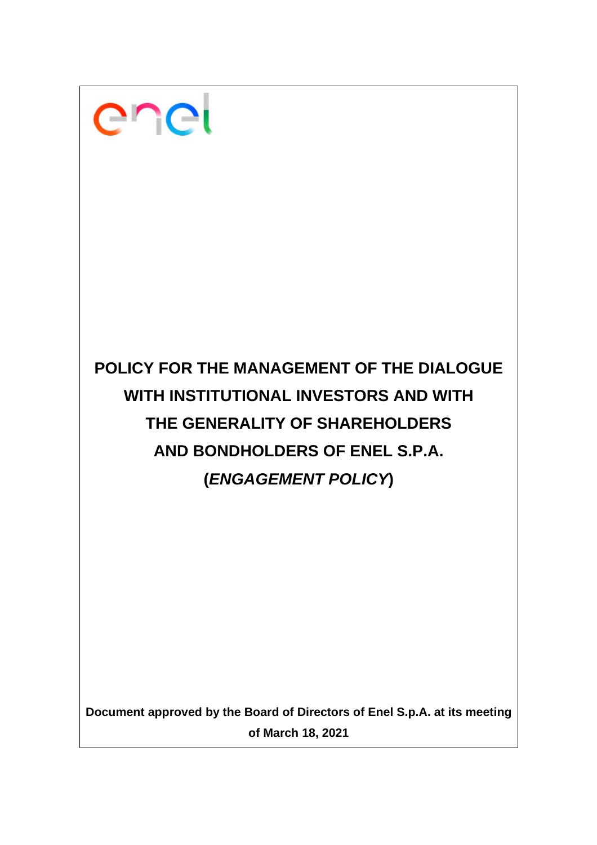

# **POLICY FOR THE MANAGEMENT OF THE DIALOGUE WITH INSTITUTIONAL INVESTORS AND WITH THE GENERALITY OF SHAREHOLDERS AND BONDHOLDERS OF ENEL S.P.A. (***ENGAGEMENT POLICY***)**

**Document approved by the Board of Directors of Enel S.p.A. at its meeting of March 18, 2021**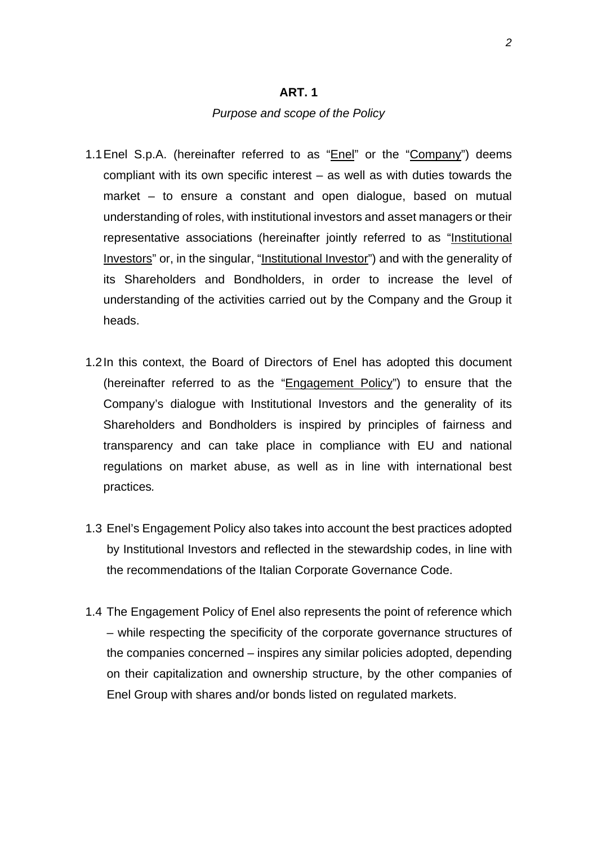#### *Purpose and scope of the Policy*

- 1.1 Enel S.p.A. (hereinafter referred to as "Enel" or the "Company") deems compliant with its own specific interest – as well as with duties towards the market – to ensure a constant and open dialogue, based on mutual understanding of roles, with institutional investors and asset managers or their representative associations (hereinafter jointly referred to as "Institutional Investors" or, in the singular, "Institutional Investor") and with the generality of its Shareholders and Bondholders, in order to increase the level of understanding of the activities carried out by the Company and the Group it heads.
- 1.2 In this context, the Board of Directors of Enel has adopted this document (hereinafter referred to as the "Engagement Policy") to ensure that the Company's dialogue with Institutional Investors and the generality of its Shareholders and Bondholders is inspired by principles of fairness and transparency and can take place in compliance with EU and national regulations on market abuse, as well as in line with international best practices*.*
- 1.3 Enel's Engagement Policy also takes into account the best practices adopted by Institutional Investors and reflected in the stewardship codes, in line with the recommendations of the Italian Corporate Governance Code.
- 1.4 The Engagement Policy of Enel also represents the point of reference which – while respecting the specificity of the corporate governance structures of the companies concerned – inspires any similar policies adopted, depending on their capitalization and ownership structure, by the other companies of Enel Group with shares and/or bonds listed on regulated markets.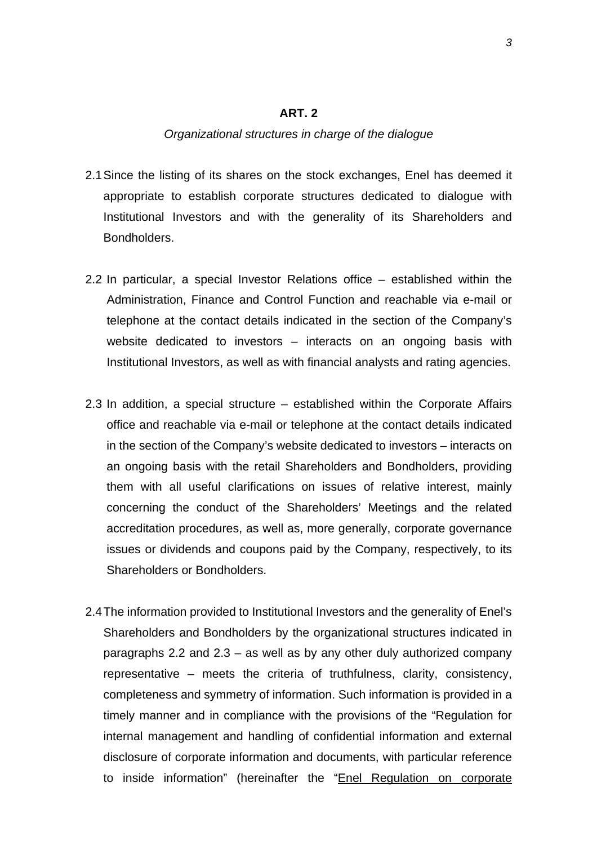#### *Organizational structures in charge of the dialogue*

- 2.1 Since the listing of its shares on the stock exchanges, Enel has deemed it appropriate to establish corporate structures dedicated to dialogue with Institutional Investors and with the generality of its Shareholders and **Bondholders**
- 2.2 In particular, a special Investor Relations office established within the Administration, Finance and Control Function and reachable via e-mail or telephone at the contact details indicated in the section of the Company's website dedicated to investors – interacts on an ongoing basis with Institutional Investors, as well as with financial analysts and rating agencies.
- 2.3 In addition, a special structure established within the Corporate Affairs office and reachable via e-mail or telephone at the contact details indicated in the section of the Company's website dedicated to investors – interacts on an ongoing basis with the retail Shareholders and Bondholders, providing them with all useful clarifications on issues of relative interest, mainly concerning the conduct of the Shareholders' Meetings and the related accreditation procedures, as well as, more generally, corporate governance issues or dividends and coupons paid by the Company, respectively, to its Shareholders or Bondholders.
- 2.4 The information provided to Institutional Investors and the generality of Enel's Shareholders and Bondholders by the organizational structures indicated in paragraphs 2.2 and 2.3 – as well as by any other duly authorized company representative – meets the criteria of truthfulness, clarity, consistency, completeness and symmetry of information. Such information is provided in a timely manner and in compliance with the provisions of the "Regulation for internal management and handling of confidential information and external disclosure of corporate information and documents, with particular reference to inside information" (hereinafter the "Enel Regulation on corporate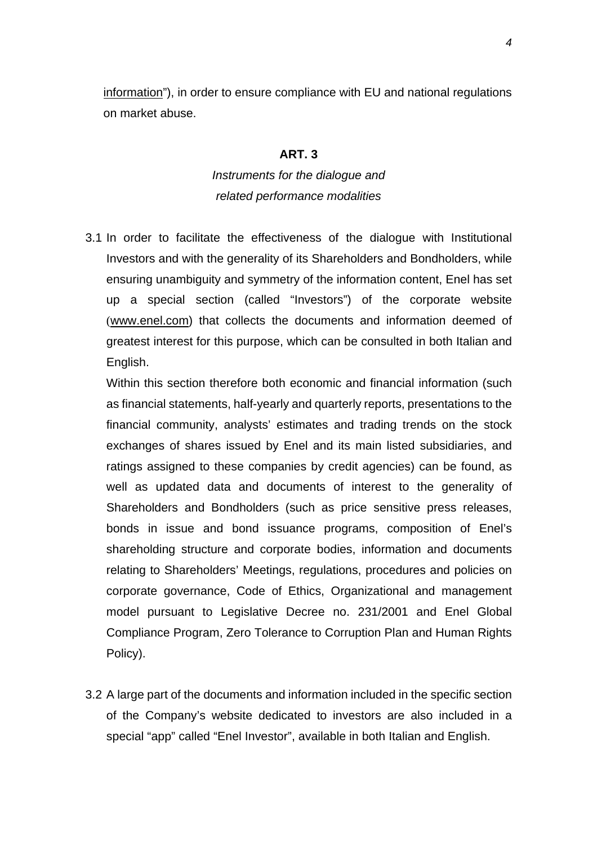information"), in order to ensure compliance with EU and national regulations on market abuse.

# **ART. 3**

# *Instruments for the dialogue and related performance modalities*

3.1 In order to facilitate the effectiveness of the dialogue with Institutional Investors and with the generality of its Shareholders and Bondholders, while ensuring unambiguity and symmetry of the information content, Enel has set up a special section (called "Investors") of the corporate website (www.enel.com) that collects the documents and information deemed of greatest interest for this purpose, which can be consulted in both Italian and English.

Within this section therefore both economic and financial information (such as financial statements, half-yearly and quarterly reports, presentations to the financial community, analysts' estimates and trading trends on the stock exchanges of shares issued by Enel and its main listed subsidiaries, and ratings assigned to these companies by credit agencies) can be found, as well as updated data and documents of interest to the generality of Shareholders and Bondholders (such as price sensitive press releases, bonds in issue and bond issuance programs, composition of Enel's shareholding structure and corporate bodies, information and documents relating to Shareholders' Meetings, regulations, procedures and policies on corporate governance, Code of Ethics, Organizational and management model pursuant to Legislative Decree no. 231/2001 and Enel Global Compliance Program, Zero Tolerance to Corruption Plan and Human Rights Policy).

3.2 A large part of the documents and information included in the specific section of the Company's website dedicated to investors are also included in a special "app" called "Enel Investor", available in both Italian and English.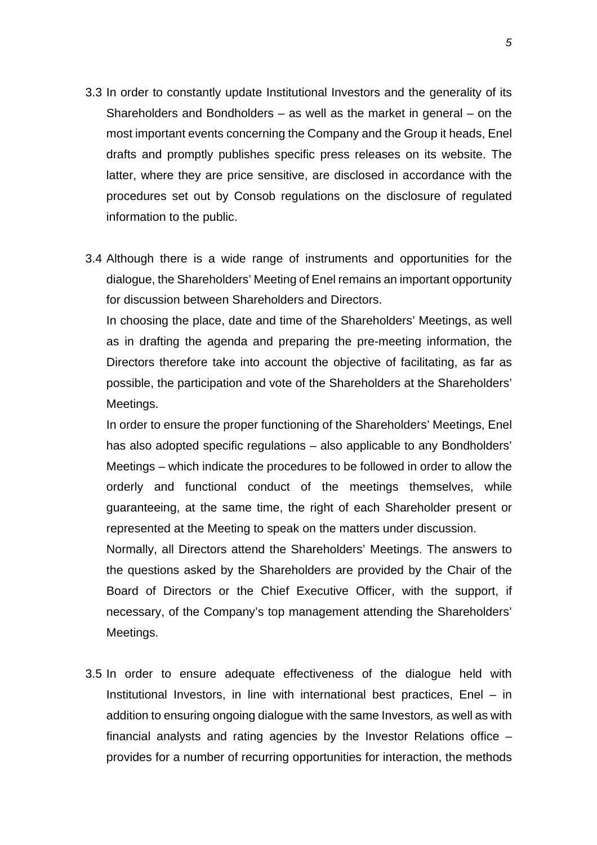3.3 In order to constantly update Institutional Investors and the generality of its Shareholders and Bondholders – as well as the market in general – on the most important events concerning the Company and the Group it heads, Enel drafts and promptly publishes specific press releases on its website. The latter, where they are price sensitive, are disclosed in accordance with the procedures set out by Consob regulations on the disclosure of regulated information to the public.

3.4 Although there is a wide range of instruments and opportunities for the dialogue, the Shareholders' Meeting of Enel remains an important opportunity for discussion between Shareholders and Directors.

In choosing the place, date and time of the Shareholders' Meetings, as well as in drafting the agenda and preparing the pre-meeting information, the Directors therefore take into account the objective of facilitating, as far as possible, the participation and vote of the Shareholders at the Shareholders' Meetings.

In order to ensure the proper functioning of the Shareholders' Meetings, Enel has also adopted specific regulations – also applicable to any Bondholders' Meetings – which indicate the procedures to be followed in order to allow the orderly and functional conduct of the meetings themselves, while guaranteeing, at the same time, the right of each Shareholder present or represented at the Meeting to speak on the matters under discussion.

Normally, all Directors attend the Shareholders' Meetings. The answers to the questions asked by the Shareholders are provided by the Chair of the Board of Directors or the Chief Executive Officer, with the support, if necessary, of the Company's top management attending the Shareholders' Meetings.

3.5 In order to ensure adequate effectiveness of the dialogue held with Institutional Investors, in line with international best practices, Enel – in addition to ensuring ongoing dialogue with the same Investors*,* as well as with financial analysts and rating agencies by the Investor Relations office – provides for a number of recurring opportunities for interaction, the methods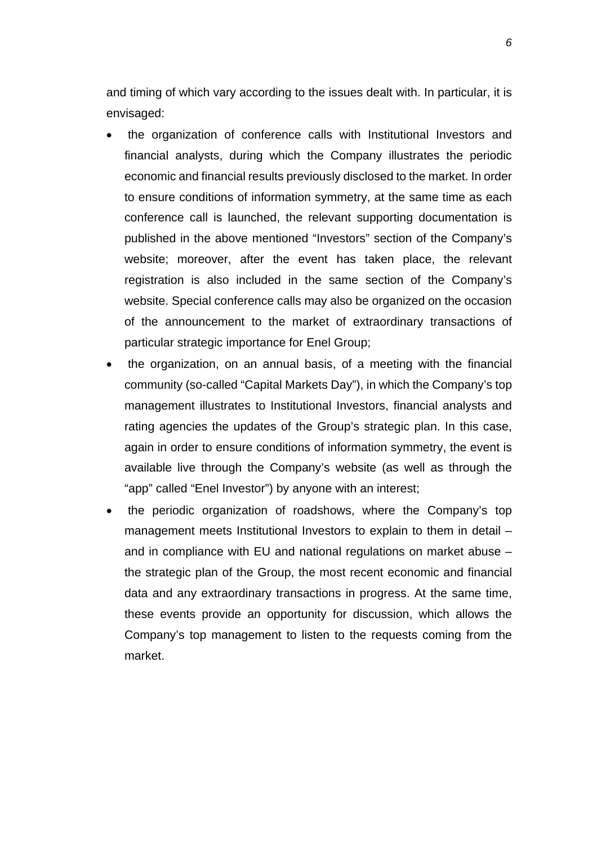and timing of which vary according to the issues dealt with. In particular, it is envisaged:

- the organization of conference calls with Institutional Investors and financial analysts, during which the Company illustrates the periodic economic and financial results previously disclosed to the market. In order to ensure conditions of information symmetry, at the same time as each conference call is launched, the relevant supporting documentation is published in the above mentioned "Investors" section of the Company's website; moreover, after the event has taken place, the relevant registration is also included in the same section of the Company's website. Special conference calls may also be organized on the occasion of the announcement to the market of extraordinary transactions of particular strategic importance for Enel Group;
- the organization, on an annual basis, of a meeting with the financial community (so-called "Capital Markets Day"), in which the Company's top management illustrates to Institutional Investors, financial analysts and rating agencies the updates of the Group's strategic plan. In this case, again in order to ensure conditions of information symmetry, the event is available live through the Company's website (as well as through the "app" called "Enel Investor") by anyone with an interest;
- the periodic organization of roadshows, where the Company's top management meets Institutional Investors to explain to them in detail – and in compliance with EU and national regulations on market abuse – the strategic plan of the Group, the most recent economic and financial data and any extraordinary transactions in progress. At the same time, these events provide an opportunity for discussion, which allows the Company's top management to listen to the requests coming from the market.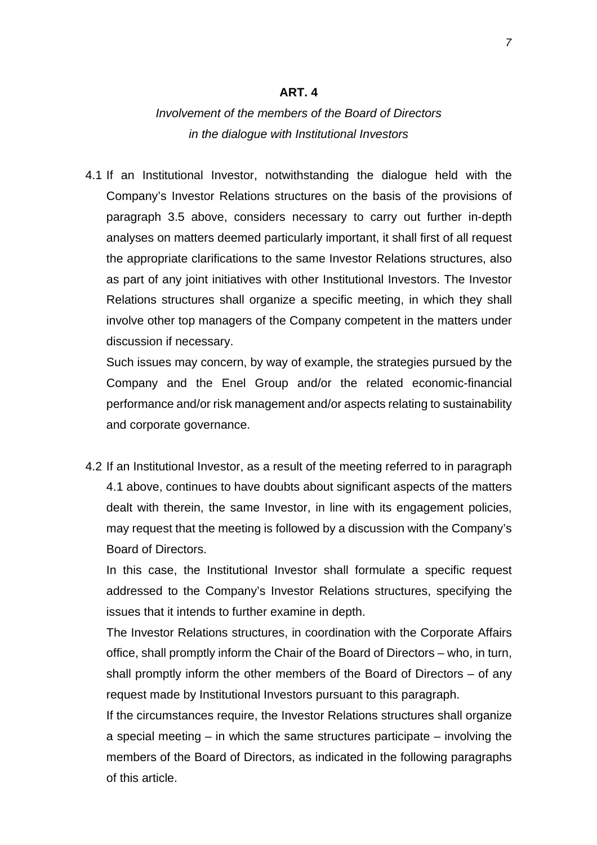# *Involvement of the members of the Board of Directors in the dialogue with Institutional Investors*

4.1 If an Institutional Investor, notwithstanding the dialogue held with the Company's Investor Relations structures on the basis of the provisions of paragraph 3.5 above, considers necessary to carry out further in-depth analyses on matters deemed particularly important, it shall first of all request the appropriate clarifications to the same Investor Relations structures, also as part of any joint initiatives with other Institutional Investors. The Investor Relations structures shall organize a specific meeting, in which they shall involve other top managers of the Company competent in the matters under discussion if necessary.

Such issues may concern, by way of example, the strategies pursued by the Company and the Enel Group and/or the related economic-financial performance and/or risk management and/or aspects relating to sustainability and corporate governance.

4.2 If an Institutional Investor, as a result of the meeting referred to in paragraph 4.1 above, continues to have doubts about significant aspects of the matters dealt with therein, the same Investor, in line with its engagement policies, may request that the meeting is followed by a discussion with the Company's Board of Directors.

In this case, the Institutional Investor shall formulate a specific request addressed to the Company's Investor Relations structures, specifying the issues that it intends to further examine in depth.

The Investor Relations structures, in coordination with the Corporate Affairs office, shall promptly inform the Chair of the Board of Directors – who, in turn, shall promptly inform the other members of the Board of Directors – of any request made by Institutional Investors pursuant to this paragraph.

If the circumstances require, the Investor Relations structures shall organize a special meeting – in which the same structures participate – involving the members of the Board of Directors, as indicated in the following paragraphs of this article.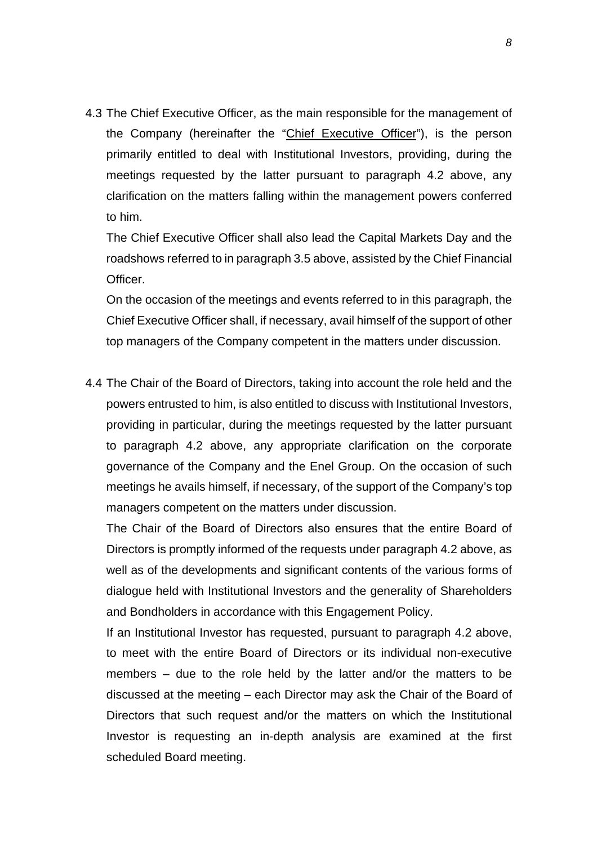4.3 The Chief Executive Officer, as the main responsible for the management of the Company (hereinafter the "Chief Executive Officer"), is the person primarily entitled to deal with Institutional Investors, providing, during the meetings requested by the latter pursuant to paragraph 4.2 above, any clarification on the matters falling within the management powers conferred to him.

The Chief Executive Officer shall also lead the Capital Markets Day and the roadshows referred to in paragraph 3.5 above, assisted by the Chief Financial Officer.

On the occasion of the meetings and events referred to in this paragraph, the Chief Executive Officer shall, if necessary, avail himself of the support of other top managers of the Company competent in the matters under discussion.

4.4 The Chair of the Board of Directors, taking into account the role held and the powers entrusted to him, is also entitled to discuss with Institutional Investors, providing in particular, during the meetings requested by the latter pursuant to paragraph 4.2 above, any appropriate clarification on the corporate governance of the Company and the Enel Group. On the occasion of such meetings he avails himself, if necessary, of the support of the Company's top managers competent on the matters under discussion.

The Chair of the Board of Directors also ensures that the entire Board of Directors is promptly informed of the requests under paragraph 4.2 above, as well as of the developments and significant contents of the various forms of dialogue held with Institutional Investors and the generality of Shareholders and Bondholders in accordance with this Engagement Policy.

If an Institutional Investor has requested, pursuant to paragraph 4.2 above, to meet with the entire Board of Directors or its individual non-executive members – due to the role held by the latter and/or the matters to be discussed at the meeting – each Director may ask the Chair of the Board of Directors that such request and/or the matters on which the Institutional Investor is requesting an in-depth analysis are examined at the first scheduled Board meeting.